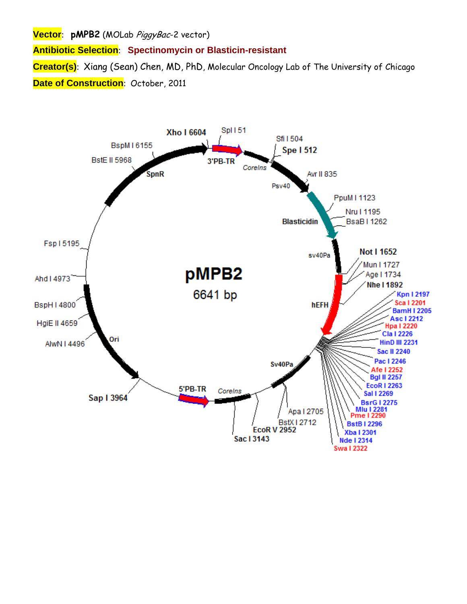**Vector**: **pMPB2** (MOLab PiggyBac-2 vector)

**Antibiotic Selection**: **Spectinomycin or Blasticin-resistant**

**Creator(s)**: Xiang (Sean) Chen, MD, PhD, Molecular Oncology Lab of The University of Chicago **Date of Construction**: October, 2011

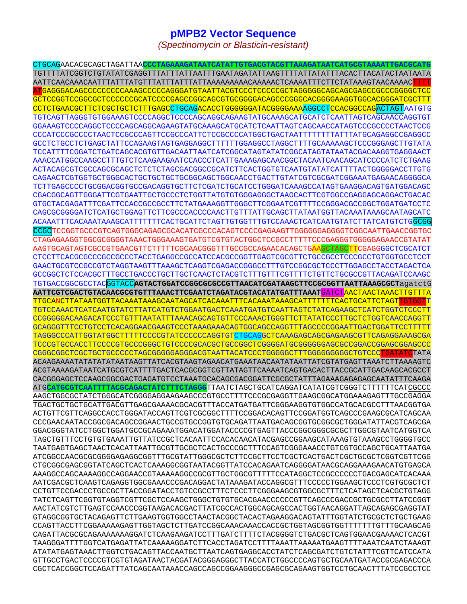# **pMPB2 Vector Sequence**

*(Spectinomycin or Blasticin-resistant)* 

CTGCAGAACACGCAGCTAGATTAA**CCCTAGAAAGATAATCATATTGTGACGTACGTTAAAGATAATCATGCGTAAAATTGACGCATG** TGTTTTATCGGTCTGTATATCGAGGTTTATTTATTAATTTGAATAGATATTAAGTTTTATTATATTTACACTTACATACTAATAATA AATTCAACAAACAATTTATTTATGTTTATTTATTTATTAAAAAAAAACAAAAACTCAAAATTTCTTCTATAAAGTAACAAAACTTTT ATGAGGGACAGCCCCCCCCCAAAGCCCCCAGGGATGTAATTACGTCCCTCCCCCGCTAGGGGGCAGCAGCGAGCCGCCCGGGGCTCC GCTCCGGTCCGGCGCTCCCCCCGCATCCCCGAGCCGGCAGCGTGCGGGGACAGCCCGGGCACGGGGAAGGTGGCACGGGATCGCTTT CCTCTGAACGCTTCTCGCTGCTCTTTGAGCCTGCAGACACCTGGGGGGATACGGGGAAAAGGCCTCCACGGCCAGACTAGTAATGTG TGTCAGTTAGGGTGTGGAAAGTCCCCAGGCTCCCCAGCAGGCAGAAGTATGCAAAGCATGCATCTCAATTAGTCAGCAACCAGGTGT GGAAAGTCCCCAGGCTCCCCAGCAGGCAGAAGTATGCAAAGCATGCATCTCAATTAGTCAGCAACCATAGTCCCGCCCCTAACTCCG CCCATCCCGCCCCTAACTCCGCCCAGTTCCGCCCATTCTCCGCCCCATGGCTGACTAATTTTTTTTATTTATGCAGAGGCCGAGGCC GCCTCTGCCTCTGAGCTATTCCAGAAGTAGTGAGGAGGCTTTTTTGGAGGCCTAGGCTTTTGCAAAAAGCTCCCGGGAGCTTGTATA TCCATTTTCGGATCTGATCAGCACGTGTTGACAATTAATCATCGGCATAGTATATCGGCATAGTATAATACGACAAGGTGAGGAACT AAACCATGGCCAAGCCTTTGTCTCAAGAAGAATCCACCCTCATTGAAAGAGCAACGGCTACAATCAACAGCATCCCCATCTCTGAAG ACTACAGCGTCGCCAGCGCAGCTCTCTCTAGCGACGGCCGCATCTTCACTGGTGTCAATGTATATCATTTTACTGGGGGACCTTGTG CAGAACTCGTGGTGCTGGGCACTGCTGCTGCTGCGGCAGCTGGCAACCTGACTTGTATCGTCGCGATCGGAAATGAGAACAGGGGCA TCTTGAGCCCCTGCGGACGGTGCCGACAGGTGCTTCTCGATCTGCATCCTGGGATCAAAGCCATAGTGAAGGACAGTGATGGACAGC CGACGGCAGTTGGGATTCGTGAATTGCTGCCCTCTGGTTATGTGTGGGAGGGCTAAGCACTTCGTGGCCGAGGAGCAGGACTGACAC GTGCTACGAGATTTCGATTCCACCGCCGCCTTCTATGAAAGGTTGGGCTTCGGAATCGTTTTCCGGGACGCCGGCTGGATGATCCTC CAGCGCGGGGATCTCATGCTGGAGTTCTTCGCCCACCCCAACTTGTTTATTGCAGCTTATAATGGTTACAAATAAAGCAATAGCATC ACAAATTTCACAAATAAAGCATTTTTTTCACTGCATTCTAGTTGTGGTTTGTCCAAACTCATCAATGTATCTTATCATGTCTGGCGG CCGCTCCGGTGCCCGTCAGTGGGCAGAGCGCACATCGCCCACAGTCCCCGAGAAGTTGGGGGGAGGGTCGGCAATTGAACCGGTGC CTAGAGAAGGTGGCGCGGGGTAAACTGGGAAAGTGATGTCGTGTACTGGCTCCGCCTTTTTCCCGAGGGTGGGGGAGAACCGTATAT AAGTGCAGTAGTCGCCGTGAACGTTCTTTTTCGCAACGGGTTTGCCGCCAGAACACAGCTGAAGCTAGCTTCGAGGGGCTCGCATCT CTCCTTCACGCGCCCGCCGCCCTACCTGAGGCCGCCATCCACGCCGGTTGAGTCGCGTTCTGCCGCCTCCCGCCTGTGGTGCCTCCT GAACTGCGTCCGCCGTCTAGGTAAGTTTAAAGCTCAGGTCGAGACCGGGCCTTTGTCCGGCGCTCCCTTGGAGCCTACCTAGACTCA GCCGGCTCTCCACGCTTTGCCTGACCCTGCTTGCTCAACTCTACGTCTTTGTTTCGTTTTCTGTTCTGCGCCGTTACAGATCCAAGC TGTGACCGGCGCCTACGGTACC**AGTACTGGATCCGGCGCGCCGTTAACATCGATAAGCTTCCGCGGTTAATTAAAGCGCT**agatctG **AATTCGTCGACTGTACAACGCGTGTTTAAACTTCGAATCTAGATACGTACATATGATTTAAAT**GATCTAACTAACTAAACTTGTTTA TTGCANCTTATAATGGTTACAAATAAAGCAATAGCATCACAAATTTCACAAATAAAGCATTTTTTTCACTGCATTCTAGTTGTGGTT TGTCCAAACTCATCAATGTATCTTATCATGTCTGGAATGACTCAAATGATGTCAATTAGTCTATCAGAAGCTCATCTGGTCTCCCTT CCGGGGGACAAGACATCCCTGTTTAATATTTAAACAGCAGTGTTCCCAAACTGGGTTCTTATATCCCTTGCTCTGGTCAACCAGGTT GCAGGGTTTCCTGTCCTCACAGGAACGAAGTCCCTAAAGAAACAGTGGCAGCCAGGTTTAGCCCCGGAATTGACTGGATTCCTTTTT TAGGGCCCATTGGTATGGCTTTTTCCCCGTATCCCCCAGGTGT<mark>CTGCAG</mark>GCTCAAAGAGCAGCGAGAAGCGTTCAGAGGAAAGCGA TCCCGTGCCACCTTCCCCGTGCCCGGGCTGTCCCCGCACGCTGCCGGCTCGGGGATGCGGGGGGAGCGCCGGACCGGAGCGGAGCCC CGGGCGGCTCGCTGCTGCCCCCTAGCGGGGGAGGGACGTAATTACATCCCTGGGGGCTTTGGGGGGGGGCTGTCCCTGATATCTATA ACAAGAAAATATATATATAATAAGTTATCACGTAAGTAGAACATGAAATAACAATATAATTATCGTATGAGTTAAATCTTAAAAGTC ACGTAAAAGATAATCATGCGTCATTTTGACTCACGCGGTCGTTATAGTTCAAAATCAGTGACACTTACCGCATTGACAAGCACGCCT CACGGGAGCTCCAAGCGGCGACTGAGATGTCCTAAATGCACAGCGACGGATTCGCGCTATTTAGAAAGAGAGAGCAATATTTCAAGA ATG**CATGCGTCAATTTTACGCAGACTATCTTTCTAGGG**TTAATCTAGCTGCATCAGGATCATATCGTCGGGTCTTTTTTCATCGCCC AAGCTGGCGCTATCTGGGCATCGGGGAGGAAGAAGCCCGTGCCTTTTCCCGCGAGGTTGAAGCGGCATGGAAAGAGTTTGCCGAGGA TGACTGCTGCTGCATTGACGTTGAGCGAAAACGCACGTTTACCATGATGATTCGGGAAGGTGTGGCCATGCACGCCTTTAACGGTGA ACTGTTCGTTCAGGCCACCTGGGATACCAGTTCGTCGCGGCTTTTCCGGACACAGTTCCGGATGGTCAGCCCGAAGCGCATCAGCAA CCCGAACAATACCGGCGACAGCCGGAACTGCCGTGCCGGTGTGCAGATTAATGACAGCGGTGCGGCGCTGGGATATTACGTCAGCGA GGACGGGTATCCTGGCTGGATGCCGCAGAAATGGACATGGATACCCCGTGAGTTACCCGGCGGGCGCGCTTGGCGTAATCATGGTCA TAGCTGTTTCCTGTGTGAAATTGTTATCCGCTCACAATTCCACACAACATACGAGCCGGAAGCATAAAGTGTAAAGCCTGGGGTGCC TAATGAGTGAGCTAACTCACATTAATTGCGTTGCGCTCACTGCCCGCTTTCCAGTCGGGAAACCTGTCGTGCCAGCTGCATTAATGA ATCGGCCAACGCGCGGGGAGAGGCGGTTTGCGTATTGGGCGCTCTTCCGCTTCCTCGCTCACTGACTCGCTGCGCTCGGTCGTTCGG CTGCGGCGAGCGGTATCAGCTCACTCAAAGGCGGTAATACGGTTATCCACAGAATCAGGGGATAACGCAGGAAAGAACATGTGAGCA AAAGGCCAGCAAAAGGCCAGGAACCGTAAAAAGGCCGCGTTGCTGGCGTTTTTCCATAGGCTCCGCCCCCCTGACGAGCATCACAAA AATCGACGCTCAAGTCAGAGGTGGCGAAACCCGACAGGACTATAAAGATACCAGGCGTTTCCCCCTGGAAGCTCCCTCGTGCGCTCT CCTGTTCCGACCCTGCCGCTTACCGGATACCTGTCCGCCTTTCTCCCTTCGGGAAGCGTGGCGCTTTCTCATAGCTCACGCTGTAGG TATCTCAGTTCGGTGTAGGTCGTTCGCTCCAAGCTGGGCTGTGTGCACGAACCCCCCGTTCAGCCCGACCGCTGCGCCTTATCCGGT AACTATCGTCTTGAGTCCAACCCGGTAAGACACGACTTATCGCCACTGGCAGCAGCCACTGGTAACAGGATTAGCAGAGCGAGGTAT GTAGGCGGTGCTACAGAGTTCTTGAAGTGGTGGCCTAACTACGGCTACACTAGAAGGACAGTATTTGGTATCTGCGCTCTGCTGAAG CCAGTTACCTTCGGAAAAAGAGTTGGTAGCTCTTGATCCGGCAAACAAACCACCGCTGGTAGCGGTGGTTTTTTTGTTTGCAAGCAG CAGATTACGCGCAGAAAAAAAGGATCTCAAGAAGATCCTTTGATCTTTTCTACGGGGTCTGACGCTCAGTGGAACGAAAACTCACGT TAAGGGATTTTGGTCATGAGATTATCAAAAAGGATCTTCACCTAGATCCTTTTAAATTAAAAATGAAGTTTTAAATCAATCTAAAGT ATATATGAGTAAACTTGGTCTGACAGTTACCAATGCTTAATCAGTGAGGCACCTATCTCAGCGATCTGTCTATTTCGTTCATCCATA GTTGCCTGACTCCCCGTCGTGTAGATAACTACGATACGGGAGGGCTTACCATCTGGCCCCAGTGCTGCAATGATACCGCGAGACCCA CGCTCACCGGCTCCAGATTTATCAGCAATAAACCAGCCAGCCGGAAGGGCCGAGCGCAGAAGTGGTCCTGCAACTTTATCCGCCTCC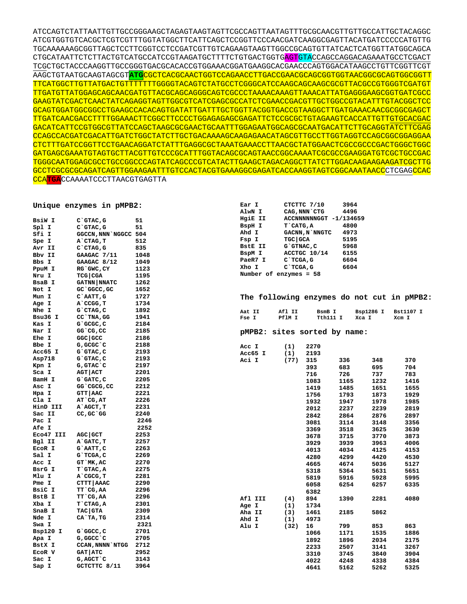ATCCAGTCTATTAATTGTTGCCGGGAAGCTAGAGTAAGTAGTTCGCCAGTTAATAGTTTGCGCAACGTTGTTGCCATTGCTACAGGC ATCGTGGTGTCACGCTCGTCGTTTGGTATGGCTTCATTCAGCTCCGGTTCCCAACGATCAAGGCGAGTTACATGATCCCCCATGTTG TGCAAAAAAGCGGTTAGCTCCTTCGGTCCTCCGATCGTTGTCAGAAGTAAGTTGGCCGCAGTGTTATCACTCATGGTTATGGCAGCA CTGCATAATTCTCTTACTGTCATGCCATCCGTAAGATGCTTTTCTGTGACTGGTGAGTGTACCAGCCAGGACAGAAATGCCTCGACT TCGCTGCTACCCAAGGTTGCCGGGTGACGCACACCGTGGAAACGGATGAAGGCACGAACCCAGTGGACATAAGCCTGTTCGGTTCGT AAGCTGTAATGCAAGTAGCGT**ATG**CGCTCACGCAACTGGTCCAGAACCTTGACCGAACGCAGCGGTGGTAACGGCGCAGTGGCGGTT TTCATGGCTTGTTATGACTGTTTTTTTGGGGTACAGTCTATGCCTCGGGCATCCAAGCAGCAAGCGCGTTACGCCGTGGGTCGATGT TTGATGTTATGGAGCAGCAACGATGTTACGCAGCAGGGCAGTCGCCCTAAAACAAAGTTAAACATTATGAGGGAAGCGGTGATCGCC GAAGTATCGACTCAACTATCAGAGGTAGTTGGCGTCATCGAGCGCCATCTCGAACCGACGTTGCTGGCCGTACATTTGTACGGCTCC GCAGTGGATGGCGGCCTGAAGCCACACAGTGATATTGATTTGCTGGTTACGGTGACCGTAAGGCTTGATGAAACAACGCGGCGAGCT TTGATCAACGACCTTTTGGAAACTTCGGCTTCCCCTGGAGAGAGCGAGATTCTCCGCGCTGTAGAAGTCACCATTGTTGTGCACGAC GACATCATTCCGTGGCGTTATCCAGCTAAGCGCGAACTGCAATTTGGAGAATGGCAGCGCAATGACATTCTTGCAGGTATCTTCGAG CCAGCCACGATCGACATTGATCTGGCTATCTTGCTGACAAAAGCAAGAGAACATAGCGTTGCCTTGGTAGGTCCAGCGGCGGAGGAA CTCTTTGATCCGGTTCCTGAACAGGATCTATTTGAGGCGCTAAATGAAACCTTAACGCTATGGAACTCGCCGCCCGACTGGGCTGGC GATGAGCGAAATGTAGTGCTTACGTTGTCCCGCATTTGGTACAGCGCAGTAACCGGCAAAATCGCGCCGAAGGATGTCGCTGCCGAC TGGGCAATGGAGCGCCTGCCGGCCCAGTATCAGCCCGTCATACTTGAAGCTAGACAGGCTTATCTTGGACAAGAAGAAGATCGCTTG GCCTCGCGCGCAGATCAGTTGGAAGAATTTGTCCACTACGTGAAAGGCGAGATCACCAAGGTAGTCGGCAAATAACCCTCGAGCCAC CCA**TGA**CCAAAATCCCTTAACGTGAGTTA

### **Unique enzymes in pMPB2:**

| BsiW I       | C`GTAC, G                | 51   |
|--------------|--------------------------|------|
| Spl I        | $C$ GTAC, G              | 51   |
| Sfi I        | <b>GGCCN, NNN `NGGCC</b> | 504  |
| Spe I        | A`CTAG, T                | 512  |
| Avr II       | $C$ $CTAG$ , $G$         | 835  |
| Bbv II       | GAAGAC 7/11              | 1048 |
| Bbs I        | GAAGAC 8/12              | 1049 |
| PpuM I       | RG`GWC, CY               | 1123 |
| Nru I        | TCG CGA                  | 1195 |
| BsaB I       | <b>GATNN   NNATC</b>     | 1262 |
| Not I        | GC`GGCC,GC               | 1652 |
| Mun I        | C`AATT, G                | 1727 |
| Age I        | A`CCGG, T                | 1734 |
| Nhe I        | G`CTAG, C                | 1892 |
| Bsu36<br>I   | CC`TNA, GG               | 1941 |
| Kas I        | G`GCGC,C                 | 2184 |
| Nar I        | GG cG, CC                | 2185 |
| Ehe I        | GGC GCC                  | 2186 |
| Bbe I        | G, GCGC`C                | 2188 |
| Acc65 I      | G`GTAC,C                 | 2193 |
| Asp718       | G`GTAC, C                | 2193 |
| Kpn I        | G,GTAC`C                 | 2197 |
| Sca I        | AGT   ACT                | 2201 |
| BamH I       | G`GATC, C                | 2205 |
| Asc I        | GG`CGCG,CC               | 2212 |
| Hpa I        | GTT   AAC                | 2221 |
| Cla I        | AT CG, AT                | 2226 |
| HinD III     | A`AGCT, T                | 2231 |
| Sac II       | CC, GC `GG               | 2240 |
| Pac I        |                          | 2246 |
| <b>Afe I</b> |                          | 2252 |
| Eco47 III    | AGC GCT                  | 2253 |
| Bgl II       | A`GATC, T                | 2257 |
|              | G`AATT, C                | 2263 |
| ECOR I       |                          | 2269 |
| Sal I        | G`TCGA,C                 |      |
| Acc I        | GT`MK, AC                | 2270 |
| BsrG I       | T`GTAC, A                | 2275 |
| Mlu I        | A`CGCG, T                | 2281 |
| Pme I        | CTTT   AAAC              | 2290 |
| BsiC I       | TT`CG, AA                | 2296 |
| BstB I       | TT`CG, AA                | 2296 |
| Xba I        | T`CTAG, A                | 2301 |
| SnaB I       | <b>TAC GTA</b>           | 2309 |
| Nde I        | CA`TA, TG                | 2314 |
| Swa I        |                          | 2321 |
| Bsp120<br>I  | G`GGCC,C                 | 2701 |
| Apa I        | G,GGCC`C                 | 2705 |
| BstX I       | <b>CCAN, NNNN `NTGG</b>  | 2712 |
| ECOR V       | <b>GAT ATC</b>           | 2952 |
| Sac I        | G, AGCT `C               | 3143 |
| Sap I        | GCTCTTC 8/11             | 3964 |

| Ear I   | CTCTTC 7/10<br>3964    |  |
|---------|------------------------|--|
| AlwN I  | CAG, NNN CTG<br>4496   |  |
| HgiE II | ACCNNNNNNGGT -1/134659 |  |
| BspH I  | T CATG.A<br>4800       |  |
| Ahd I   | GACNN, N`NNGTC<br>4973 |  |
| Fsp I   | TGC GCA<br>5195        |  |
| BstE II | G`GTNAC, C<br>5968     |  |
| BspM I  | ACCTGC 10/14<br>6155   |  |
| PaeR7 I | C`TCGA, G<br>6604      |  |
| Xho I   | C`TCGA, G<br>6604      |  |
|         | Number of enzymes = 58 |  |
|         |                        |  |

#### **The following enzymes do not cut in pMPB2:**

| Aat II | Afl II | BsmB I   | Bsp1286 I | Bst1107 I |
|--------|--------|----------|-----------|-----------|
| Fse I  | PflM I | Tth111 I | Xca I     | Xcm I     |

## **pMPB2: sites sorted by name:**

| Acc I  |              | (1)  | 2270 |      |      |      |
|--------|--------------|------|------|------|------|------|
| Acc65  | I            | (1)  | 2193 |      |      |      |
| Aci I  |              | (77) | 315  | 336  | 348  | 370  |
|        |              |      | 393  | 683  | 695  | 704  |
|        |              |      | 716  | 726  | 737  | 783  |
|        |              |      | 1083 | 1165 | 1232 | 1416 |
|        |              |      | 1419 | 1485 | 1651 | 1655 |
|        |              |      | 1756 | 1793 | 1873 | 1929 |
|        |              |      | 1932 | 1947 | 1978 | 1985 |
|        |              |      | 2012 | 2237 | 2239 | 2819 |
|        |              |      | 2842 | 2864 | 2876 | 2897 |
|        |              |      | 3081 | 3114 | 3148 | 3356 |
|        |              |      | 3369 | 3518 | 3625 | 3630 |
|        |              |      | 3678 | 3715 | 3770 | 3873 |
|        |              |      | 3929 | 3939 | 3963 | 4006 |
|        |              |      | 4013 | 4034 | 4125 | 4153 |
|        |              |      | 4280 | 4299 | 4420 | 4530 |
|        |              |      | 4665 | 4674 | 5036 | 5127 |
|        |              |      | 5318 | 5364 | 5631 | 5651 |
|        |              |      | 5819 | 5916 | 5928 | 5995 |
|        |              |      | 6058 | 6254 | 6257 | 6335 |
|        |              |      | 6382 |      |      |      |
| Afl    | III          | (4)  | 894  | 1390 | 2281 | 4080 |
| Age    | I            | (1)  | 1734 |      |      |      |
| Aha II |              | (3)  | 1461 | 2185 | 5862 |      |
| Ahd    | $\mathbf{I}$ | (1)  | 4973 |      |      |      |
| Alu    | $\mathbf I$  | (32) | 16   | 799  | 853  | 863  |
|        |              |      | 1066 | 1171 | 1535 | 1886 |
|        |              |      | 1892 | 1896 | 2034 | 2175 |
|        |              |      | 2233 | 2507 | 3141 | 3267 |
|        |              |      | 3310 | 3745 | 3840 | 3904 |
|        |              |      | 4022 | 4248 | 4338 | 4384 |
|        |              |      | 4641 | 5162 | 5262 | 5325 |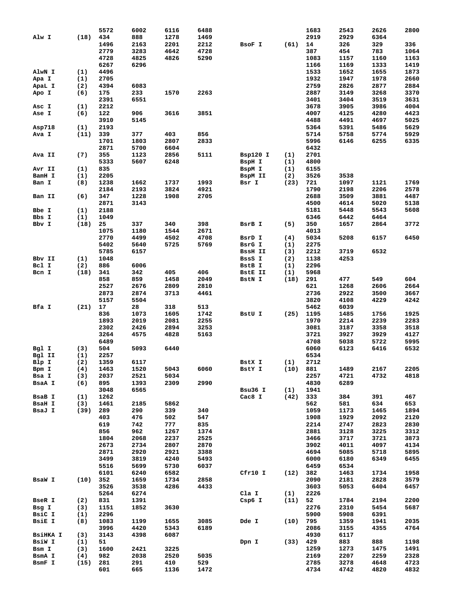|                 |            | 5572 | 6002       | 6116        | 6488        |                |            | 1683         | 2543         | 2626         | 2800         |
|-----------------|------------|------|------------|-------------|-------------|----------------|------------|--------------|--------------|--------------|--------------|
| Alw I           | (18)       | 434  | 888        | 1278        | 1469        |                |            | 2919         | 2929         | 6364         |              |
|                 |            | 1496 | 2163       | 2201        | 2212        | BSOF I         | (61)       | 14           | 326          | 329          | 336          |
|                 |            | 2779 | 3283       | 4642        | 4728        |                |            | 387          | 454          | 783          | 1064         |
|                 |            |      |            |             |             |                |            |              |              |              |              |
|                 |            | 4728 | 4825       | 4826        | 5290        |                |            | 1083         | 1157         | 1160         | 1163         |
|                 |            | 6267 | 6296       |             |             |                |            | 1166         | 1169         | 1333         | 1419         |
| AlwN I          | (1)        | 4496 |            |             |             |                |            | 1533         | 1652         | 1655         | 1873         |
| Apa I           | (1)        | 2705 |            |             |             |                |            | 1932         | 1947         | 1978         | 2660         |
| ApaL I          | (2)        | 4394 | 6083       |             |             |                |            | 2759         | 2826         | 2877         | 2884         |
|                 |            |      |            |             |             |                |            |              |              |              |              |
| Apo I           | (6)        | 175  | 233        | 1570        | 2263        |                |            | 2887         | 3149         | 3268         | 3370         |
|                 |            | 2391 | 6551       |             |             |                |            | 3401         | 3404         | 3519         | 3631         |
| Asc I           | (1)        | 2212 |            |             |             |                |            | 3678         | 3905         | 3986         | 4004         |
| Ase I           | (6)        | 122  | 906        | 3616        | 3851        |                |            | 4007         | 4125         | 4280         | 4423         |
|                 |            | 3910 | 5145       |             |             |                |            | 4488         | 4491         | 4697         | 5025         |
|                 |            |      |            |             |             |                |            |              |              |              |              |
| Asp718          | (1)        | 2193 |            |             |             |                |            | 5364         | 5391         | 5486         | 5629         |
| Ava I           | (11)       | 339  | 377        | 403         | 856         |                |            | 5714         | 5758         | 5774         | 5929         |
|                 |            | 1701 | 1803       | 2807        | 2833        |                |            | 5996         | 6146         | 6255         | 6335         |
|                 |            | 2871 | 5700       | 6604        |             |                |            | 6432         |              |              |              |
|                 | (7)        | 355  | 1123       | 2856        | 5111        |                |            | 2701         |              |              |              |
| Ava II          |            |      |            |             |             | Bsp120 I       | (1)        |              |              |              |              |
|                 |            | 5333 | 5607       | 6248        |             | BspH I         | (1)        | 4800         |              |              |              |
| Avr II          | (1)        | 835  |            |             |             | BspM I         | (1)        | 6155         |              |              |              |
| BamH I          | (1)        | 2205 |            |             |             | BspM II        | (2)        | 3526         | 3538         |              |              |
| Ban I           | (8)        | 1238 | 1662       | 1737        | 1993        | Bsr I          | (23)       | 721          | 1097         | 1121         | 1769         |
|                 |            | 2184 | 2193       | 3824        | 4921        |                |            | 1790         | 2198         | 2206         | 2578         |
|                 |            |      |            |             |             |                |            |              |              |              |              |
| Ban II          | (6)        | 347  | 1228       | 1908        | 2705        |                |            | 2688         | 3509         | 3881         | 4487         |
|                 |            | 2871 | 3143       |             |             |                |            | 4500         | 4614         | 5020         | 5138         |
| Bbe I           | (1)        | 2188 |            |             |             |                |            | 5181         | 5448         | 5543         | 5608         |
| Bbs I           | (1)        | 1049 |            |             |             |                |            | 6346         | 6442         | 6464         |              |
|                 |            |      |            |             |             |                |            |              |              |              |              |
| Bbv I           | (18)       | 25   | 337        | 340         | 398         | BsrB I         | (5)        | 350          | 1657         | 2864         | 3772         |
|                 |            | 1075 | 1180       | 1544        | 2671        |                |            | 4013         |              |              |              |
|                 |            | 2770 | 4499       | 4502        | 4708        | BsrD I         | (4)        | 5034         | 5208         | 6157         | 6450         |
|                 |            | 5402 | 5640       | 5725        | 5769        | BsrG I         | (1)        | 2275         |              |              |              |
|                 |            | 5785 | 6157       |             |             | <b>BssH II</b> | (3)        | 2212         | 3719         | 6532         |              |
|                 |            |      |            |             |             |                |            |              |              |              |              |
| Bbv II          | (1)        | 1048 |            |             |             | BssS I         | (2)        | 1138         | 4253         |              |              |
| Bcl I           | (2)        | 886  | 6006       |             |             | BstB I         | (1)        | 2296         |              |              |              |
| Bcn I           | (18)       | 341  | 342        | 405         | 406         | <b>BstE II</b> | (1)        | 5968         |              |              |              |
|                 |            | 858  | 859        | 1458        | 2049        | BstN I         | (18)       | 291          | 477          | 549          | 604          |
|                 |            |      |            |             |             |                |            |              |              |              |              |
|                 |            | 2527 | 2676       | 2809        | 2810        |                |            | 621          | 1268         | 2606         | 2664         |
|                 |            | 2873 | 2874       | 3713        | 4461        |                |            | 2736         | 2922         | 3500         | 3667         |
|                 |            |      |            |             |             |                |            |              |              |              |              |
|                 |            | 5157 | 5504       |             |             |                |            | 3820         | 4108         | 4229         | 4242         |
|                 |            |      |            |             |             |                |            |              |              |              |              |
| Bfa I           | (21)       | 17   | 28         | 318         | 513         |                |            | 5462         | 6039         |              |              |
|                 |            | 836  | 1073       | 1605        | 1742        | BstU I         | (25)       | 1195         | 1485         | 1756         | 1925         |
|                 |            | 1893 | 2019       | 2081        | 2255        |                |            | 1970         | 2214         | 2239         | 2283         |
|                 |            | 2302 | 2426       | 2894        | 3253        |                |            | 3081         | 3187         | 3358         | 3518         |
|                 |            |      |            |             |             |                |            |              |              |              |              |
|                 |            | 3264 | 4575       | 4828        | 5163        |                |            | 3721         | 3927         | 3929         | 4127         |
|                 |            | 6489 |            |             |             |                |            | 4708         | 5038         | 5722         | 5995         |
| Bgl I           | (3)        | 504  | 5093       | 6440        |             |                |            | 6060         | 6123         | 6416         | 6532         |
| Bgl II          | (1)        | 2257 |            |             |             |                |            | 6534         |              |              |              |
| Blp I           | (2)        | 1359 | 6117       |             |             | BstX I         | (1)        | 2712         |              |              |              |
|                 |            | 1463 | 1520       | 5043        | 6060        | BstY I         | $(10)$ 881 |              | 1489         | 2167         | 2205         |
| Bpm I           | (4)        |      |            |             |             |                |            |              |              |              |              |
| Bsa I           | (3)        | 2037 | 2521       | 5034        |             |                |            | 2257         | 4721         | 4732         | 4818         |
| BsaA I          | (6)        | 895  | 1393       | 2309        | 2990        |                |            | 4830         | 6289         |              |              |
|                 |            | 3048 | 6565       |             |             | Bsu36 I        | (1)        | 1941         |              |              |              |
| BsaB I          | (1)        | 1262 |            |             |             | Cac8 I         | $(42)$ 333 |              | 384          | 391          | 467          |
| BsaH I          | (3)        | 1461 | 2185       | 5862        |             |                |            | 562          | 581          | 634          | 653          |
|                 |            |      |            |             |             |                |            |              |              |              |              |
| BsaJ I          | $(39)$ 289 |      | 290        | 339         | 340         |                |            | 1059         | 1173         | 1465         | 1894         |
|                 |            | 403  | 476        | 502         | 547         |                |            | 1908         | 1929         | 2092         | 2120         |
|                 |            | 619  | 742        | 777         | 835         |                |            | 2214         | 2747         | 2823         | 2830         |
|                 |            | 856  | 962        | 1267        | 1374        |                |            | 2881         | 3128         | 3225         | 3312         |
|                 |            | 1804 | 2068       | 2237        | 2525        |                |            | 3466         | 3717         | 3721         | 3873         |
|                 |            |      |            |             |             |                |            |              |              |              |              |
|                 |            | 2673 | 2734       | 2807        | 2870        |                |            | 3902         | 4011         | 4097         | 4134         |
|                 |            | 2871 | 2920       | 2921        | 3388        |                |            | 4694         | 5085         | 5718         | 5895         |
|                 |            | 3499 | 3819       | 4240        | 5493        |                |            | 6000         | 6180         | 6349         | 6455         |
|                 |            | 5516 | 5699       | 5730        | 6037        |                |            | 6459         | 6534         |              |              |
|                 |            | 6101 | 6240       | 6582        |             | Cfr10 I        | (12) 382   |              | 1463         | 1734         | 1958         |
|                 |            |      |            |             |             |                |            |              |              |              |              |
| BsaW I          | $(10)$ 352 |      | 1659       | 1734        | 2858        |                |            | 2090         | 2181         | 2828         | 3579         |
|                 |            | 3526 | 3538       | 4286        | 4433        |                |            | 3603         | 5053         | 6404         | 6457         |
|                 |            | 5264 | 6274       |             |             | Cla I          | (1)        | 2226         |              |              |              |
| BseR I          | (2)        | 831  | 1391       |             |             | $Csp6$ I       | $(11)$ 52  |              | 1784         | 2194         | 2200         |
| Bsg I           | (3)        | 1151 | 1852       | 3630        |             |                |            | 2276         | 2310         | 5454         | 5687         |
|                 |            |      |            |             |             |                |            |              |              |              |              |
| BsiC I          | (1)        | 2296 |            |             |             |                |            | 5900         | 5908         | 6391         |              |
| BsiE I          | (8)        | 1083 | 1199       | 1655        | 3085        | Dde I          | $(10)$ 795 |              | 1359         | 1941         | 2035         |
|                 |            | 3996 | 4420       | 5343        | 6189        |                |            | 2086         | 3155         | 4355         | 4764         |
| <b>BSiHKA I</b> | (3)        | 3143 | 4398       | 6087        |             |                |            | 4930         | 6117         |              |              |
| BsiW I          | (1)        | 51   |            |             |             | Dpn I          | (33) 429   |              | 883          | 888          | 1198         |
|                 |            |      |            |             |             |                |            |              |              |              |              |
| Bsm I           | (3)        | 1600 | 2421       | 3225        |             |                |            | 1259         | 1273         | 1475         | 1491         |
| BsmA I          | (4)        | 982  | 2038       | 2520        | 5035        |                |            | 2169         | 2207         | 2259         | 2328         |
| BsmF I          | $(15)$ 281 | 601  | 291<br>665 | 410<br>1136 | 529<br>1472 |                |            | 2785<br>4734 | 3278<br>4742 | 4648<br>4820 | 4723<br>4832 |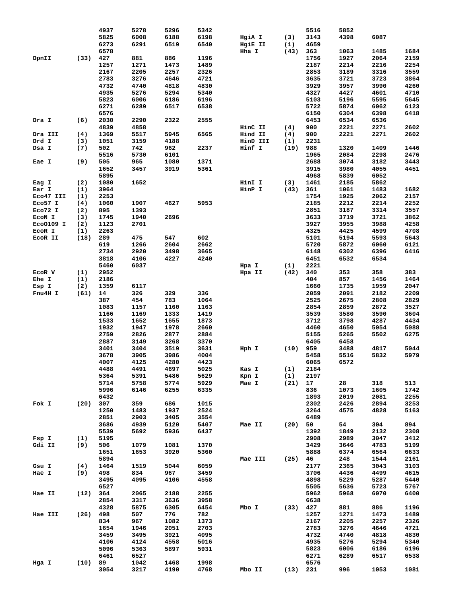|                |           | 4937 | 5278         | 5296         | 5342         |                                                                                                                                                                                                              |            | 5516 | 5852 |      |      |
|----------------|-----------|------|--------------|--------------|--------------|--------------------------------------------------------------------------------------------------------------------------------------------------------------------------------------------------------------|------------|------|------|------|------|
|                |           | 5825 | 6008         | 6188         | 6198         | HgiA I                                                                                                                                                                                                       | (3)        | 3143 | 4398 | 6087 |      |
|                |           |      |              |              |              |                                                                                                                                                                                                              |            |      |      |      |      |
|                |           | 6273 | 6291         | 6519         | 6540         | HgiE II                                                                                                                                                                                                      | (1)        | 4659 |      |      |      |
|                |           | 6578 |              |              |              | Hha I                                                                                                                                                                                                        | (43)       | 363  | 1063 | 1485 | 1684 |
| DpnII          | (33)      | 427  | 881          | 886          | 1196         |                                                                                                                                                                                                              |            | 1756 | 1927 | 2064 | 2159 |
|                |           | 1257 | 1271         |              | 1489         |                                                                                                                                                                                                              |            | 2187 | 2214 | 2216 | 2254 |
|                |           |      |              | 1473         |              |                                                                                                                                                                                                              |            |      |      |      |      |
|                |           | 2167 | 2205         | 2257         | 2326         |                                                                                                                                                                                                              |            | 2853 | 3189 | 3316 | 3559 |
|                |           | 2783 | 3276         | 4646         | 4721         |                                                                                                                                                                                                              |            | 3635 | 3721 | 3723 | 3864 |
|                |           | 4732 | 4740         | 4818         | 4830         |                                                                                                                                                                                                              |            | 3929 | 3957 | 3990 | 4260 |
|                |           |      |              |              |              |                                                                                                                                                                                                              |            |      |      |      |      |
|                |           | 4935 | 5276         | 5294         | 5340         |                                                                                                                                                                                                              |            | 4327 | 4427 | 4601 | 4710 |
|                |           | 5823 | 6006         | 6186         | 6196         |                                                                                                                                                                                                              |            | 5103 | 5196 | 5595 | 5645 |
|                |           | 6271 | 6289         | 6517         | 6538         |                                                                                                                                                                                                              |            | 5722 | 5874 | 6062 | 6123 |
|                |           | 6576 |              |              |              |                                                                                                                                                                                                              |            |      |      |      | 6418 |
|                |           |      |              |              |              |                                                                                                                                                                                                              |            | 6150 | 6304 | 6398 |      |
| Dra I          | (6)       | 2030 | 2290         | 2322         | 2555         |                                                                                                                                                                                                              |            | 6453 | 6534 | 6536 |      |
|                |           | 4839 | 4858         |              |              | HinC II                                                                                                                                                                                                      | (4)        | 900  | 2221 | 2271 | 2602 |
| Dra III        | (4)       | 1369 | 5517         | 5945         | 6565         | Hind II                                                                                                                                                                                                      | (4)        | 900  | 2221 | 2271 | 2602 |
|                |           |      |              |              |              |                                                                                                                                                                                                              |            |      |      |      |      |
| Drd I          | (3)       | 1051 | 3159         | 4188         |              | HinD III                                                                                                                                                                                                     | (1)        | 2231 |      |      |      |
| Dsa I          | (7)       | 502  | 742          | 962          | 2237         | Hinf I                                                                                                                                                                                                       | (19)       | 988  | 1320 | 1409 | 1446 |
|                |           | 5516 | 5730         | 6101         |              |                                                                                                                                                                                                              |            | 1965 | 2084 | 2298 | 2476 |
|                |           |      |              |              |              |                                                                                                                                                                                                              |            |      |      |      |      |
| Eae I          | (9)       | 505  | 965          | 1080         | 1371         |                                                                                                                                                                                                              |            | 2688 | 3074 | 3182 | 3443 |
|                |           | 1652 | 3457         | 3919         | 5361         |                                                                                                                                                                                                              |            | 3915 | 3980 | 4055 | 4451 |
|                |           | 5895 |              |              |              |                                                                                                                                                                                                              |            | 4968 | 5839 | 6052 |      |
| Eag I          | (2)       | 1080 | 1652         |              |              | HinI I                                                                                                                                                                                                       | (3)        | 1461 | 2185 | 5862 |      |
|                |           |      |              |              |              |                                                                                                                                                                                                              |            |      |      |      |      |
| Ear I          | (1)       | 3964 |              |              |              | HinP I                                                                                                                                                                                                       | (43)       | 361  | 1061 | 1483 | 1682 |
| Eco47 III      | (1)       | 2253 |              |              |              |                                                                                                                                                                                                              |            | 1754 | 1925 | 2062 | 2157 |
| Eco57 I        | (4)       | 1060 | 1907         | 4627         | 5953         |                                                                                                                                                                                                              |            | 2185 | 2212 | 2214 | 2252 |
|                |           |      |              |              |              |                                                                                                                                                                                                              |            |      |      |      |      |
| Eco72 I        | (2)       | 895  | 1393         |              |              |                                                                                                                                                                                                              |            | 2851 | 3187 | 3314 | 3557 |
| ECON I         | (3)       | 1745 | 1940         | 2696         |              |                                                                                                                                                                                                              |            | 3633 | 3719 | 3721 | 3862 |
| Eco0109 I      | (2)       | 1123 | 2701         |              |              |                                                                                                                                                                                                              |            | 3927 | 3955 | 3988 | 4258 |
|                |           |      |              |              |              |                                                                                                                                                                                                              |            |      |      |      |      |
| ECOR I         | (1)       | 2263 |              |              |              |                                                                                                                                                                                                              |            | 4325 | 4425 | 4599 | 4708 |
| ECOR II        | (18)      | 289  | 475          | 547          | 602          |                                                                                                                                                                                                              |            | 5101 | 5194 | 5593 | 5643 |
|                |           | 619  | 1266         |              | 2662         |                                                                                                                                                                                                              |            | 5720 | 5872 |      | 6121 |
|                |           |      |              | 2604         |              |                                                                                                                                                                                                              |            |      |      | 6060 |      |
|                |           | 2734 | 2920         | 3498         | 3665         |                                                                                                                                                                                                              |            | 6148 | 6302 | 6396 | 6416 |
|                |           | 3818 | 4106         | 4227         | 4240         |                                                                                                                                                                                                              |            | 6451 | 6532 | 6534 |      |
|                |           | 5460 | 6037         |              |              | Hpa I                                                                                                                                                                                                        | (1)        | 2221 |      |      |      |
|                |           |      |              |              |              |                                                                                                                                                                                                              |            |      |      |      |      |
| ECOR V         | (1)       | 2952 |              |              |              | Hpa II                                                                                                                                                                                                       | (42)       | 340  | 353  | 358  | 383  |
| Ehe I          | (1)       | 2186 |              |              |              |                                                                                                                                                                                                              |            | 404  | 857  | 1456 | 1464 |
| Esp I          | (2)       | 1359 | 6117         |              |              |                                                                                                                                                                                                              |            | 1660 | 1735 | 1959 | 2047 |
|                |           |      |              |              |              |                                                                                                                                                                                                              |            |      |      |      |      |
| Fnu4H I        | (61)      | 14   | 326          | 329          | 336          |                                                                                                                                                                                                              |            | 2059 | 2091 | 2182 | 2209 |
|                |           | 387  | 454          | 783          | 1064         |                                                                                                                                                                                                              |            | 2525 | 2675 | 2808 | 2829 |
|                |           | 1083 | 1157         | 1160         | 1163         |                                                                                                                                                                                                              |            | 2854 | 2859 | 2872 | 3527 |
|                |           |      |              |              |              |                                                                                                                                                                                                              |            |      |      |      |      |
|                |           | 1166 | 1169         | 1333         | 1419         |                                                                                                                                                                                                              |            | 3539 | 3580 | 3590 | 3604 |
|                |           | 1533 | 1652         | 1655         | 1873         |                                                                                                                                                                                                              |            | 3712 | 3798 | 4287 | 4434 |
|                |           | 1932 | 1947         | 1978         | 2660         |                                                                                                                                                                                                              |            | 4460 | 4650 | 5054 | 5088 |
|                |           |      |              |              |              |                                                                                                                                                                                                              |            |      |      |      |      |
|                |           | 2759 | 2826         | 2877         | 2884         |                                                                                                                                                                                                              |            | 5155 | 5265 | 5502 | 6275 |
|                |           | 2887 | 3149         | 3268         | 3370         |                                                                                                                                                                                                              |            | 6405 | 6458 |      |      |
|                |           | 3401 | 3404         | 3519         | 3631         | Hph I                                                                                                                                                                                                        | (10)       | 959  | 3488 | 4817 | 5044 |
|                |           | 3678 | 3905         | 3986         | 4004         |                                                                                                                                                                                                              |            | 5458 | 5516 | 5832 | 5979 |
|                |           |      |              |              |              |                                                                                                                                                                                                              |            |      |      |      |      |
|                |           | 4007 | 4125         | 4280         | 4423         |                                                                                                                                                                                                              |            | 6065 | 6572 |      |      |
|                |           | 4488 | 4491         | 4697         | 5025         | Kas I                                                                                                                                                                                                        | (1)        | 2184 |      |      |      |
|                |           | 5364 | 5391         | 5486         | 5629         | $\begin{array}{ccc}\n\text{Kas} & \text{L} \\ \text{Kpn} & \text{I} \\ \text{Mron} & \text{T}\n\end{array}$ (1) 2197<br>$\begin{array}{ccc}\n\text{Mron} & \text{L} \\ \text{(21)} & \text{17}\n\end{array}$ |            |      |      |      |      |
|                |           |      |              |              |              |                                                                                                                                                                                                              |            |      |      |      |      |
|                |           | 5714 | 5758         | 5774         | 5929         |                                                                                                                                                                                                              |            |      | 28   | 318  | 513  |
|                |           | 5996 | 6146         | 6255         | 6335         |                                                                                                                                                                                                              |            | 836  | 1073 | 1605 | 1742 |
|                |           | 6432 |              |              |              |                                                                                                                                                                                                              |            | 1893 | 2019 | 2081 | 2255 |
| Fok I (20) 307 |           |      |              |              |              |                                                                                                                                                                                                              |            |      |      |      |      |
|                |           |      | 359          | 686          | 1015         |                                                                                                                                                                                                              |            | 2302 | 2426 | 2894 | 3253 |
|                |           | 1250 | 1483         | 1937         | 2524         |                                                                                                                                                                                                              |            | 3264 | 4575 | 4828 | 5163 |
|                |           | 2851 | 2903         | 3405         | 3554         |                                                                                                                                                                                                              |            | 6489 |      |      |      |
|                |           | 3686 | 4939         | 5120         | 5407         | Mae II                                                                                                                                                                                                       | (20) 50    |      | 54   | 304  | 894  |
|                |           |      |              |              |              |                                                                                                                                                                                                              |            |      |      |      |      |
|                |           | 5539 | 5692         | 5936         | 6437         |                                                                                                                                                                                                              |            | 1392 | 1849 | 2132 | 2308 |
| Fsp I          | (1)       | 5195 |              |              |              |                                                                                                                                                                                                              |            | 2908 | 2989 | 3047 | 3412 |
| Gdi II         | (9)       | 506  | 1079         | 1081         | 1370         |                                                                                                                                                                                                              |            | 3429 | 3646 | 4783 | 5199 |
|                |           |      |              |              |              |                                                                                                                                                                                                              |            |      |      |      |      |
|                |           |      |              |              |              |                                                                                                                                                                                                              |            |      |      |      |      |
|                |           | 1651 | 1653         | 3920         | 5360         |                                                                                                                                                                                                              |            | 5888 | 6374 | 6564 | 6633 |
|                |           | 5894 |              |              |              | Mae III                                                                                                                                                                                                      | $(25)$ 46  |      | 248  | 1544 | 2161 |
| Gsu I          |           |      |              |              | 6059         |                                                                                                                                                                                                              |            |      |      |      |      |
|                | (4)       | 1464 | 1519         | 5044         |              |                                                                                                                                                                                                              |            | 2177 | 2365 | 3043 | 3103 |
| Hae I          | (9)       | 498  | 834          | 967          | 3459         |                                                                                                                                                                                                              |            | 3706 | 4436 | 4499 | 4615 |
|                |           | 3495 | 4095         | 4106         | 4558         |                                                                                                                                                                                                              |            | 4898 | 5229 | 5287 | 5440 |
|                |           | 6527 |              |              |              |                                                                                                                                                                                                              |            | 5505 | 5636 | 5723 | 5767 |
|                |           |      |              |              |              |                                                                                                                                                                                                              |            |      |      |      |      |
| Hae II         | (12) 364  |      | 2065         | 2188         | 2255         |                                                                                                                                                                                                              |            | 5962 | 5968 | 6070 | 6400 |
|                |           | 2854 | 3317         | 3636         | 3958         |                                                                                                                                                                                                              |            | 6638 |      |      |      |
|                |           | 4328 | 5875         | 6305         | 6454         | Mbo I                                                                                                                                                                                                        | $(33)$ 427 |      | 881  | 886  | 1196 |
|                |           |      |              |              |              |                                                                                                                                                                                                              |            |      |      |      |      |
| Hae III        | (26) 498  |      | 507          | 776          | 782          |                                                                                                                                                                                                              |            | 1257 | 1271 | 1473 | 1489 |
|                |           | 834  | 967          | 1082         | 1373         |                                                                                                                                                                                                              |            | 2167 | 2205 | 2257 | 2326 |
|                |           | 1654 | 1946         | 2051         | 2703         |                                                                                                                                                                                                              |            | 2783 | 3276 | 4646 | 4721 |
|                |           |      |              |              |              |                                                                                                                                                                                                              |            |      |      |      |      |
|                |           | 3459 | 3495         | 3921         | 4095         |                                                                                                                                                                                                              |            | 4732 | 4740 | 4818 | 4830 |
|                |           | 4106 | 4124         | 4558         | 5016         |                                                                                                                                                                                                              |            | 4935 | 5276 | 5294 | 5340 |
|                |           | 5096 | 5363         | 5897         | 5931         |                                                                                                                                                                                                              |            | 5823 | 6006 | 6186 | 6196 |
|                |           |      |              |              |              |                                                                                                                                                                                                              |            |      |      |      |      |
|                |           | 6461 | 6527         |              |              |                                                                                                                                                                                                              |            | 6271 | 6289 | 6517 | 6538 |
| Hga I          | $(10)$ 89 | 3054 | 1042<br>3217 | 1468<br>4190 | 1998<br>4768 | Mbo II (13) 231                                                                                                                                                                                              |            | 6576 | 996  | 1053 | 1081 |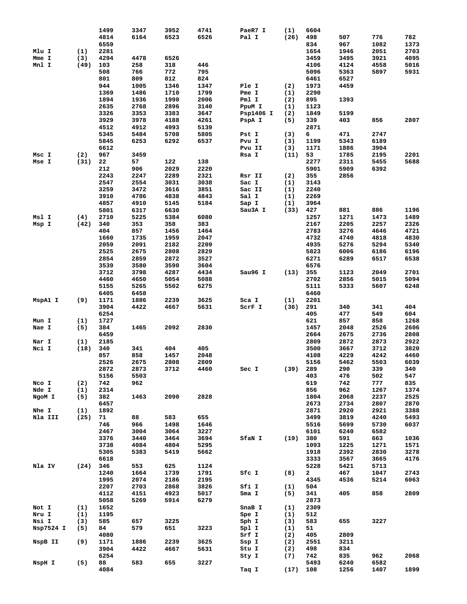|           |      | 1499 | 3347 | 3952 | 4741 | PaeR7 I   | (1)  | 6604         |      |      |      |
|-----------|------|------|------|------|------|-----------|------|--------------|------|------|------|
|           |      | 4814 | 6164 | 6523 | 6526 | Pal I     | (26) | 498          | 507  | 776  | 782  |
|           |      | 6559 |      |      |      |           |      | 834          | 967  | 1082 | 1373 |
|           |      |      |      |      |      |           |      |              |      |      |      |
| Mlu I     | (1)  | 2281 |      |      |      |           |      | 1654         | 1946 | 2051 | 2703 |
| Mme I     | (3)  | 4294 | 4478 | 6526 |      |           |      | 3459         | 3495 | 3921 | 4095 |
| Mnl I     | (49) | 103  | 258  | 318  | 446  |           |      | 4106         | 4124 | 4558 | 5016 |
|           |      | 508  | 766  | 772  | 795  |           |      | 5096         | 5363 | 5897 | 5931 |
|           |      | 801  | 809  | 812  | 824  |           |      | 6461         | 6527 |      |      |
|           |      | 944  | 1005 | 1346 | 1347 | Ple I     | (2)  | 1973         | 4459 |      |      |
|           |      |      |      |      |      |           |      |              |      |      |      |
|           |      | 1369 | 1486 | 1710 | 1799 | Pme I     | (1)  | 2290         |      |      |      |
|           |      | 1894 | 1936 | 1990 | 2006 | Pml I     | (2)  | 895          | 1393 |      |      |
|           |      | 2635 | 2768 | 2896 | 3140 | PpuM I    | (1)  | 1123         |      |      |      |
|           |      | 3326 | 3353 | 3383 | 3647 | Psp1406 I | (2)  | 1849         | 5199 |      |      |
|           |      | 3929 | 3978 | 4188 | 4261 | PspA I    | (5)  | 339          | 403  | 856  | 2807 |
|           |      | 4512 | 4912 | 4993 | 5139 |           |      | 2871         |      |      |      |
|           |      |      |      |      |      |           |      |              |      | 2747 |      |
|           |      | 5345 | 5484 | 5708 | 5805 | Pst I     | (3)  | 6            | 471  |      |      |
|           |      | 5845 | 6253 | 6292 | 6537 | Pvu I     | (3)  | 1199         | 5343 | 6189 |      |
|           |      | 6612 |      |      |      | Pvu II    | (3)  | 1171         | 1886 | 3904 |      |
| Msc I     | (2)  | 967  | 3459 |      |      | Rsa I     | (11) | 53           | 1785 | 2195 | 2201 |
| Mse I     | (31) | 22   | 57   | 122  | 138  |           |      | 2277         | 2311 | 5455 | 5688 |
|           |      | 212  | 906  | 2029 | 2220 |           |      | 5901         | 5909 | 6392 |      |
|           |      |      |      |      |      |           |      |              |      |      |      |
|           |      | 2243 | 2247 | 2289 | 2321 | Rsr II    | (2)  | 355          | 2856 |      |      |
|           |      | 2547 | 2554 | 3031 | 3038 | Sac I     | (1)  | 3143         |      |      |      |
|           |      | 3259 | 3472 | 3616 | 3851 | Sac II    | (1)  | 2240         |      |      |      |
|           |      | 3910 | 4786 | 4838 | 4843 | Sal I     | (1)  | 2269         |      |      |      |
|           |      | 4857 | 4910 | 5145 | 5184 | Sap I     | (1)  | 3964         |      |      |      |
|           |      |      |      |      |      |           |      |              |      |      |      |
|           |      | 5801 | 6317 | 6630 |      | Sau3A I   | (33) | 427          | 881  | 886  | 1196 |
| Msl I     | (4)  | 2710 | 5225 | 5384 | 6080 |           |      | 1257         | 1271 | 1473 | 1489 |
| Msp I     | (42) | 340  | 353  | 358  | 383  |           |      | 2167         | 2205 | 2257 | 2326 |
|           |      | 404  | 857  | 1456 | 1464 |           |      | 2783         | 3276 | 4646 | 4721 |
|           |      | 1660 | 1735 | 1959 | 2047 |           |      | 4732         | 4740 | 4818 | 4830 |
|           |      | 2059 | 2091 |      | 2209 |           |      | 4935         |      |      |      |
|           |      |      |      | 2182 |      |           |      |              | 5276 | 5294 | 5340 |
|           |      | 2525 | 2675 | 2808 | 2829 |           |      | 5823         | 6006 | 6186 | 6196 |
|           |      | 2854 | 2859 | 2872 | 3527 |           |      | 6271         | 6289 | 6517 | 6538 |
|           |      | 3539 | 3580 | 3590 | 3604 |           |      | 6576         |      |      |      |
|           |      | 3712 | 3798 | 4287 | 4434 | Sau96 I   | (13) | 355          | 1123 | 2049 | 2701 |
|           |      | 4460 | 4650 | 5054 | 5088 |           |      |              | 2856 | 5015 | 5094 |
|           |      |      |      |      |      |           |      | 2702         |      |      |      |
|           |      | 5155 | 5265 | 5502 | 6275 |           |      | 5111         | 5333 | 5607 | 6248 |
|           |      | 6405 | 6458 |      |      |           |      | 6460         |      |      |      |
|           |      |      |      |      |      |           |      |              |      |      |      |
| MspA1 I   | (9)  | 1171 | 1886 | 2239 | 3625 | Sca I     | (1)  | 2201         |      |      |      |
|           |      |      |      |      |      |           |      |              |      |      |      |
|           |      | 3904 | 4422 | 4667 | 5631 | SCrF I    | (36) | 291          | 340  | 341  | 404  |
|           |      | 6254 |      |      |      |           |      | 405          | 477  | 549  | 604  |
| Mun I     | (1)  | 1727 |      |      |      |           |      | 621          | 857  | 858  | 1268 |
| Nae I     | (5)  | 384  | 1465 | 2092 | 2830 |           |      | 1457         | 2048 | 2526 | 2606 |
|           |      | 6459 |      |      |      |           |      | 2664         | 2675 | 2736 | 2808 |
| Nar I     | (1)  | 2185 |      |      |      |           |      | 2809         | 2872 | 2873 |      |
|           |      |      |      |      |      |           |      |              |      |      | 2922 |
| Nci I     | (18) | 340  | 341  | 404  | 405  |           |      | 3500         | 3667 | 3712 | 3820 |
|           |      | 857  | 858  | 1457 | 2048 |           |      | 4108         | 4229 | 4242 | 4460 |
|           |      | 2526 | 2675 | 2808 | 2809 |           |      | 5156         | 5462 | 5503 | 6039 |
|           |      | 2872 | 2873 | 3712 | 4460 | Sec I     | (39) | 289          | 290  | 339  | 340  |
|           |      | 5156 | 5503 |      |      |           |      | 403          | 476  | 502  | 547  |
|           |      |      |      |      |      |           |      |              |      |      |      |
| Nco I     | (2)  | 742  | 962  |      |      |           |      | 619          | 742  | 777  | 835  |
| Nde I     | (1)  | 2314 |      |      |      |           |      | 856          | 962  | 1267 | 1374 |
| NgoM I    | (5)  | 382  | 1463 | 2090 | 2828 |           |      | 1804         | 2068 | 2237 | 2525 |
|           |      | 6457 |      |      |      |           |      | 2673         | 2734 | 2807 | 2870 |
| Nhe I     | (1)  | 1892 |      |      |      |           |      | 2871         | 2920 | 2921 | 3388 |
| Nla III   | (25) | 71   | 88   | 583  | 655  |           |      | 3499         | 3819 | 4240 | 5493 |
|           |      |      |      |      |      |           |      |              |      |      |      |
|           |      | 746  | 966  | 1498 | 1646 |           |      | 5516         | 5699 | 5730 | 6037 |
|           |      | 2467 | 3004 | 3064 | 3227 |           |      | 6101         | 6240 | 6582 |      |
|           |      | 3376 | 3440 | 3464 | 3694 | SfaN I    | (19) | 380          | 591  | 663  | 1036 |
|           |      | 3738 | 4084 | 4804 | 5295 |           |      | 1093         | 1225 | 1271 | 1571 |
|           |      | 5305 | 5383 | 5419 | 5662 |           |      | 1918         | 2392 | 2830 | 3278 |
|           |      | 6618 |      |      |      |           |      | 3333         | 3567 | 3665 | 4176 |
|           |      |      |      |      |      |           |      |              |      |      |      |
| Nla IV    | (24) | 346  | 553  | 625  | 1124 |           |      | 5228         | 5421 | 5713 |      |
|           |      | 1240 | 1664 | 1739 | 1791 | Sfc I     | (8)  | $\mathbf{2}$ | 467  | 1047 | 2743 |
|           |      | 1995 | 2074 | 2186 | 2195 |           |      | 4345         | 4536 | 5214 | 6063 |
|           |      | 2207 | 2703 | 2868 | 3826 | Sfi I     | (1)  | 504          |      |      |      |
|           |      | 4112 | 4151 | 4923 | 5017 | Sma I     | (5)  | 341          | 405  | 858  | 2809 |
|           |      | 5058 | 5269 | 5914 | 6279 |           |      | 2873         |      |      |      |
|           |      |      |      |      |      |           |      |              |      |      |      |
| Not I     | (1)  | 1652 |      |      |      | SnaB I    | (1)  | 2309         |      |      |      |
| Nru I     | (1)  | 1195 |      |      |      | Spe I     | (1)  | 512          |      |      |      |
| Nsi I     | (3)  | 585  | 657  | 3225 |      | Sph I     | (3)  | 583          | 655  | 3227 |      |
| Nsp7524 I | (5)  | 84   | 579  | 651  | 3223 | Spl I     | (1)  | 51           |      |      |      |
|           |      | 4080 |      |      |      | Srf I     | (2)  | 405          | 2809 |      |      |
|           |      |      |      |      |      |           |      |              |      |      |      |
| NspB II   | (9)  | 1171 | 1886 | 2239 | 3625 | Ssp I     | (2)  | 2551         | 3211 |      |      |
|           |      | 3904 | 4422 | 4667 | 5631 | Stu I     | (2)  | 498          | 834  |      |      |
|           |      | 6254 |      |      |      | Sty I     | (7)  | 742          | 835  | 962  | 2068 |
| NspH I    | (5)  | 88   | 583  | 655  | 3227 |           |      | 5493         | 6240 | 6582 |      |
|           |      | 4084 |      |      |      | Taq I     | (17) | 108          | 1256 | 1407 | 1899 |